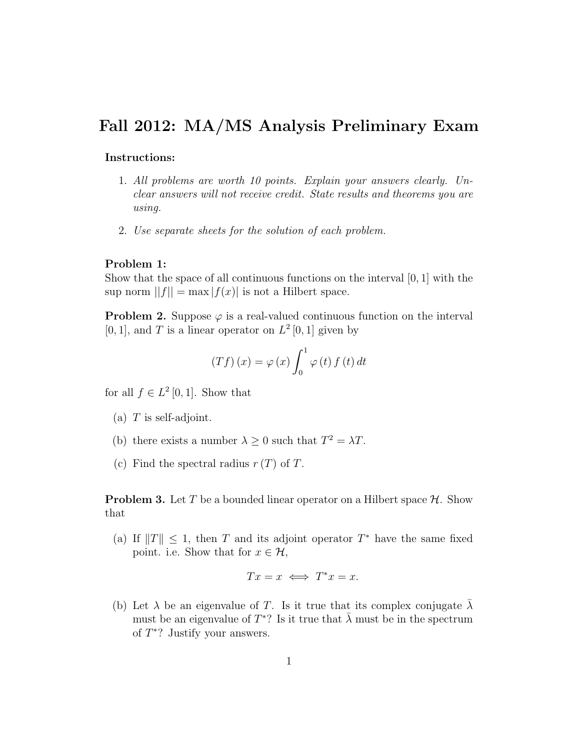## Fall 2012: MA/MS Analysis Preliminary Exam

## Instructions:

- 1. All problems are worth 10 points. Explain your answers clearly. Unclear answers will not receive credit. State results and theorems you are using.
- 2. Use separate sheets for the solution of each problem.

## Problem 1:

Show that the space of all continuous functions on the interval  $[0, 1]$  with the sup norm  $||f|| = \max |f(x)|$  is not a Hilbert space.

**Problem 2.** Suppose  $\varphi$  is a real-valued continuous function on the interval [0, 1], and T is a linear operator on  $L^2[0,1]$  given by

$$
(Tf)(x) = \varphi(x) \int_0^1 \varphi(t) f(t) dt
$$

for all  $f \in L^2[0,1]$ . Show that

- (a)  $T$  is self-adjoint.
- (b) there exists a number  $\lambda \geq 0$  such that  $T^2 = \lambda T$ .
- (c) Find the spectral radius  $r(T)$  of T.

**Problem 3.** Let T be a bounded linear operator on a Hilbert space  $H$ . Show that

(a) If  $||T|| \leq 1$ , then T and its adjoint operator  $T^*$  have the same fixed point. i.e. Show that for  $x \in \mathcal{H}$ ,

$$
Tx = x \iff T^*x = x.
$$

(b) Let  $\lambda$  be an eigenvalue of T. Is it true that its complex conjugate  $\lambda$ must be an eigenvalue of  $T^*$ ? Is it true that  $\bar{\lambda}$  must be in the spectrum of  $T^*$ ? Justify your answers.